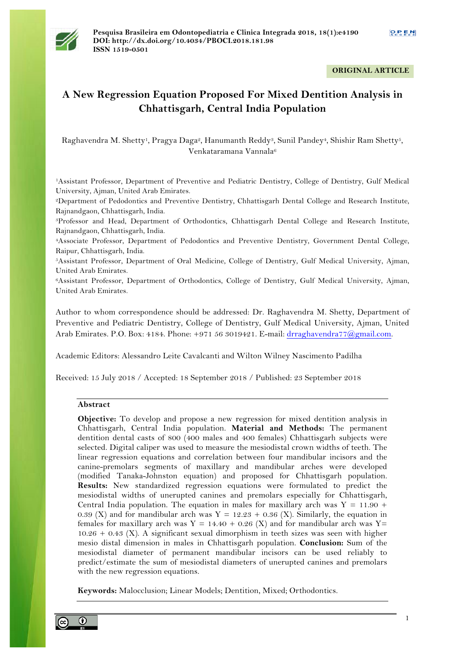

## **ORIGINAL ARTICLE**

# **A New Regression Equation Proposed For Mixed Dentition Analysis in Chhattisgarh, Central India Population**

Raghavendra M. Shetty<sup>1</sup>, Pragya Daga<sup>2</sup>, Hanumanth Reddy<sup>3</sup>, Sunil Pandey<sup>4</sup>, Shishir Ram Shetty<sup>5</sup>, Venkataramana Vannala<sup>6</sup>

<sup>1</sup>Assistant Professor, Department of Preventive and Pediatric Dentistry, College of Dentistry, Gulf Medical University, Ajman, United Arab Emirates.

<sup>2</sup>Department of Pedodontics and Preventive Dentistry, Chhattisgarh Dental College and Research Institute, Rajnandgaon, Chhattisgarh, India.

<sup>3</sup>Professor and Head, Department of Orthodontics, Chhattisgarh Dental College and Research Institute, Rajnandgaon, Chhattisgarh, India.

<sup>4</sup>Associate Professor, Department of Pedodontics and Preventive Dentistry, Government Dental College, Raipur, Chhattisgarh, India.

<sup>5</sup>Assistant Professor, Department of Oral Medicine, College of Dentistry, Gulf Medical University, Ajman, United Arab Emirates.

<sup>6</sup>Assistant Professor, Department of Orthodontics, College of Dentistry, Gulf Medical University, Ajman, United Arab Emirates.

Author to whom correspondence should be addressed: Dr. Raghavendra M. Shetty, Department of Preventive and Pediatric Dentistry, College of Dentistry, Gulf Medical University, Ajman, United Arab Emirates. P.O. Box: 4184. Phone: +971 56 3019421. E-mail: drraghavendra77@gmail.com.

Academic Editors: Alessandro Leite Cavalcanti and Wilton Wilney Nascimento Padilha

Received: 15 July 2018 / Accepted: 18 September 2018 / Published: 23 September 2018

#### **Abstract**

**Objective:** To develop and propose a new regression for mixed dentition analysis in Chhattisgarh, Central India population. **Material and Methods:** The permanent dentition dental casts of 800 (400 males and 400 females) Chhattisgarh subjects were selected. Digital caliper was used to measure the mesiodistal crown widths of teeth. The linear regression equations and correlation between four mandibular incisors and the canine-premolars segments of maxillary and mandibular arches were developed (modified Tanaka-Johnston equation) and proposed for Chhattisgarh population. **Results:** New standardized regression equations were formulated to predict the mesiodistal widths of unerupted canines and premolars especially for Chhattisgarh, Central India population. The equation in males for maxillary arch was  $Y = 11.90 +$ 0.39 (X) and for mandibular arch was  $Y = 12.23 + 0.36$  (X). Similarly, the equation in females for maxillary arch was Y = 14.40 + 0.26 (X) and for mandibular arch was Y= 10.26 + 0.43 (X). A significant sexual dimorphism in teeth sizes was seen with higher mesio distal dimension in males in Chhattisgarh population. **Conclusion:** Sum of the mesiodistal diameter of permanent mandibular incisors can be used reliably to predict/estimate the sum of mesiodistal diameters of unerupted canines and premolars with the new regression equations.

**Keywords:** Malocclusion; Linear Models; Dentition, Mixed; Orthodontics.

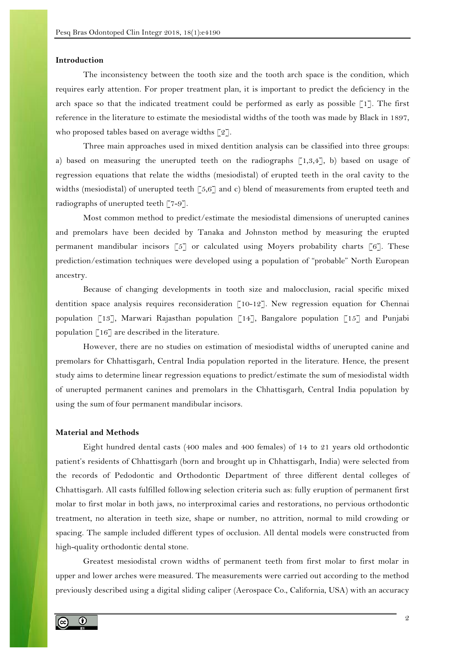#### **Introduction**

The inconsistency between the tooth size and the tooth arch space is the condition, which requires early attention. For proper treatment plan, it is important to predict the deficiency in the arch space so that the indicated treatment could be performed as early as possible  $\lceil 1 \rceil$ . The first reference in the literature to estimate the mesiodistal widths of the tooth was made by Black in 1897, who proposed tables based on average widths  $\lceil 2 \rceil$ .

Three main approaches used in mixed dentition analysis can be classified into three groups: a) based on measuring the unerupted teeth on the radiographs  $[1,3,4]$ , b) based on usage of regression equations that relate the widths (mesiodistal) of erupted teeth in the oral cavity to the widths (mesiodistal) of unerupted teeth [5,6] and c) blend of measurements from erupted teeth and radiographs of unerupted teeth  $\lceil 7-9 \rceil$ .

Most common method to predict/estimate the mesiodistal dimensions of unerupted canines and premolars have been decided by Tanaka and Johnston method by measuring the erupted permanent mandibular incisors  $\lceil 5 \rceil$  or calculated using Moyers probability charts  $\lceil 6 \rceil$ . These prediction/estimation techniques were developed using a population of "probable" North European ancestry.

Because of changing developments in tooth size and malocclusion, racial specific mixed dentition space analysis requires reconsideration [10-12]. New regression equation for Chennai population [13], Marwari Rajasthan population [14], Bangalore population [15] and Punjabi population  $[16]$  are described in the literature.

However, there are no studies on estimation of mesiodistal widths of unerupted canine and premolars for Chhattisgarh, Central India population reported in the literature. Hence, the present study aims to determine linear regression equations to predict/estimate the sum of mesiodistal width of unerupted permanent canines and premolars in the Chhattisgarh, Central India population by using the sum of four permanent mandibular incisors.

## **Material and Methods**

Eight hundred dental casts (400 males and 400 females) of 14 to 21 years old orthodontic patient's residents of Chhattisgarh (born and brought up in Chhattisgarh, India) were selected from the records of Pedodontic and Orthodontic Department of three different dental colleges of Chhattisgarh. All casts fulfilled following selection criteria such as: fully eruption of permanent first molar to first molar in both jaws, no interproximal caries and restorations, no pervious orthodontic treatment, no alteration in teeth size, shape or number, no attrition, normal to mild crowding or spacing. The sample included different types of occlusion. All dental models were constructed from high-quality orthodontic dental stone.

Greatest mesiodistal crown widths of permanent teeth from first molar to first molar in upper and lower arches were measured. The measurements were carried out according to the method previously described using a digital sliding caliper (Aerospace Co., California, USA) with an accuracy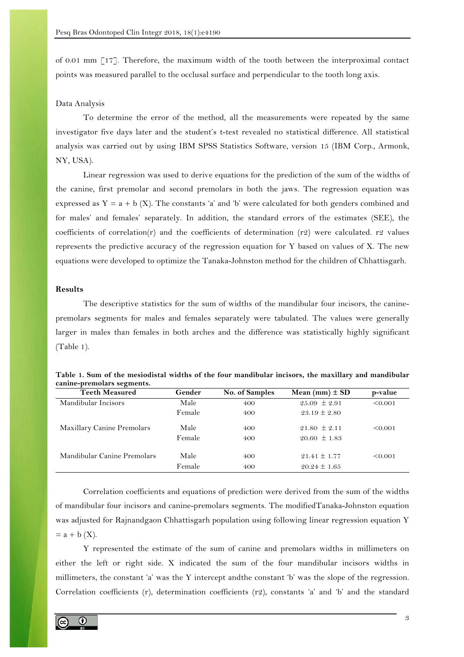of 0.01 mm [17]. Therefore, the maximum width of the tooth between the interproximal contact points was measured parallel to the occlusal surface and perpendicular to the tooth long axis.

#### Data Analysis

To determine the error of the method, all the measurements were repeated by the same investigator five days later and the student's t-test revealed no statistical difference. All statistical analysis was carried out by using IBM SPSS Statistics Software, version 15 (IBM Corp., Armonk, NY, USA).

Linear regression was used to derive equations for the prediction of the sum of the widths of the canine, first premolar and second premolars in both the jaws. The regression equation was expressed as  $Y = a + b(X)$ . The constants 'a' and 'b' were calculated for both genders combined and for males' and females' separately. In addition, the standard errors of the estimates (SEE), the coefficients of correlation(r) and the coefficients of determination (r2) were calculated. r2 values represents the predictive accuracy of the regression equation for Y based on values of X. The new equations were developed to optimize the Tanaka-Johnston method for the children of Chhattisgarh.

### **Results**

The descriptive statistics for the sum of widths of the mandibular four incisors, the caninepremolars segments for males and females separately were tabulated. The values were generally larger in males than females in both arches and the difference was statistically highly significant (Table 1).

| $\sigma$<br><b>Teeth Measured</b> | Gender | No. of Samples | Mean (mm) $\pm$ SD | p-value |
|-----------------------------------|--------|----------------|--------------------|---------|
| Mandibular Incisors               | Male   | 400            | $25.09 \pm 2.91$   | < 0.001 |
|                                   | Female | 400            | $23.19 \pm 2.80$   |         |
| Maxillary Canine Premolars        | Male   | 400            | $21.80 \pm 2.11$   | < 0.001 |
|                                   | Female | 400            | $20.60 \pm 1.83$   |         |
| Mandibular Canine Premolars       | Male   | 400            | $21.41 \pm 1.77$   | < 0.001 |
|                                   | Female | 400            | $20.24 \pm 1.65$   |         |

| Table 1. Sum of the mesiodistal widths of the four mandibular incisors, the maxillary and mandibular |  |  |
|------------------------------------------------------------------------------------------------------|--|--|
| canine-premolars segments.                                                                           |  |  |

Correlation coefficients and equations of prediction were derived from the sum of the widths of mandibular four incisors and canine-premolars segments. The modifiedTanaka-Johnston equation was adjusted for Rajnandgaon Chhattisgarh population using following linear regression equation Y  $=$  a + b  $(X)$ .

Y represented the estimate of the sum of canine and premolars widths in millimeters on either the left or right side. X indicated the sum of the four mandibular incisors widths in millimeters, the constant 'a' was the Y intercept andthe constant 'b' was the slope of the regression. Correlation coefficients (r), determination coefficients (r2), constants 'a' and 'b' and the standard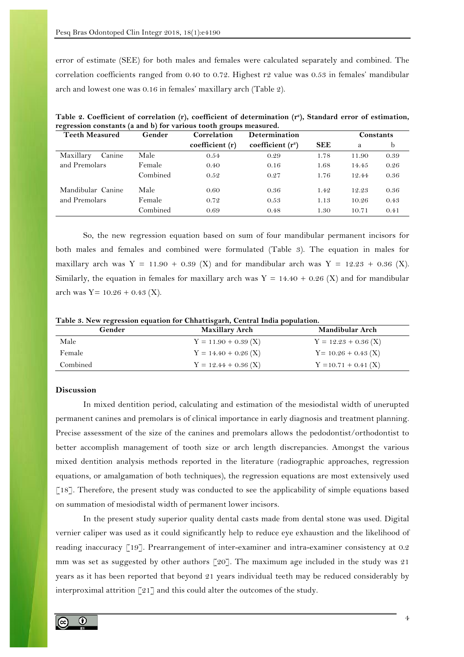error of estimate (SEE) for both males and females were calculated separately and combined. The correlation coefficients ranged from 0.40 to 0.72. Highest r2 value was 0.53 in females' mandibular arch and lowest one was 0.16 in females' maxillary arch (Table 2).

| - 0<br><b>Teeth Measured</b> | Gender   | ō<br>Correlation | Determination       |            | Constants |      |
|------------------------------|----------|------------------|---------------------|------------|-----------|------|
|                              |          | coefficient (r)  | coefficient $(r^2)$ | <b>SEE</b> | a         | b    |
| Maxillary<br>Canine          | Male     | 0.54             | 0.29                | 1.78       | 11.90     | 0.39 |
| and Premolars                | Female   | 0.40             | 0.16                | 1.68       | 14.45     | 0.26 |
|                              | Combined | 0.52             | 0.27                | 1.76       | 12.44     | 0.36 |
| Mandibular Canine            | Male     | 0.60             | 0.36                | 1.42       | 12.23     | 0.36 |
| and Premolars                | Female   | 0.72             | 0.53                | 1.13       | 10.26     | 0.43 |
|                              | Combined | 0.69             | 0.48                | 1.30       | 10.71     | 0.41 |

**Table 2. Coefficient of correlation (r), coefficient of determination (r<sup>2</sup> ), Standard error of estimation, regression constants (a and b) for various tooth groups measured.**

So, the new regression equation based on sum of four mandibular permanent incisors for both males and females and combined were formulated (Table 3). The equation in males for maxillary arch was Y = 11.90 + 0.39 (X) and for mandibular arch was Y = 12.23 + 0.36 (X). Similarly, the equation in females for maxillary arch was  $Y = 14.40 + 0.26$  (X) and for mandibular arch was  $Y = 10.26 + 0.43$  (X).

| Table 3. New regression equation for Chhattisgarh, Central India population. |  |  |  |  |
|------------------------------------------------------------------------------|--|--|--|--|
|------------------------------------------------------------------------------|--|--|--|--|

| Gender   | <b>Maxillary Arch</b>  | Mandibular Arch        |
|----------|------------------------|------------------------|
| Male     | $Y = 11.90 + 0.39$ (X) | $Y = 12.23 + 0.36$ (X) |
| Female   | $Y = 14.40 + 0.26$ (X) | $Y = 10.26 + 0.43$ (X) |
| Combined | $Y = 12.44 + 0.36$ (X) | $Y = 10.71 + 0.41$ (X) |

## **Discussion**

In mixed dentition period, calculating and estimation of the mesiodistal width of unerupted permanent canines and premolars is of clinical importance in early diagnosis and treatment planning. Precise assessment of the size of the canines and premolars allows the pedodontist/orthodontist to better accomplish management of tooth size or arch length discrepancies. Amongst the various mixed dentition analysis methods reported in the literature (radiographic approaches, regression equations, or amalgamation of both techniques), the regression equations are most extensively used [18]. Therefore, the present study was conducted to see the applicability of simple equations based on summation of mesiodistal width of permanent lower incisors.

In the present study superior quality dental casts made from dental stone was used. Digital vernier caliper was used as it could significantly help to reduce eye exhaustion and the likelihood of reading inaccuracy [19]. Prearrangement of inter-examiner and intra-examiner consistency at 0.2 mm was set as suggested by other authors [20]. The maximum age included in the study was 21 years as it has been reported that beyond 21 years individual teeth may be reduced considerably by interproximal attrition [21] and this could alter the outcomes of the study.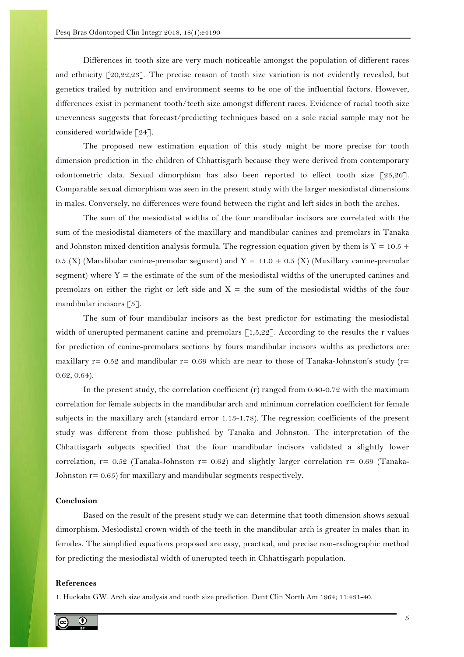Differences in tooth size are very much noticeable amongst the population of different races and ethnicity  $\lceil 20,22,23 \rceil$ . The precise reason of tooth size variation is not evidently revealed, but genetics trailed by nutrition and environment seems to be one of the influential factors. However, differences exist in permanent tooth/teeth size amongst different races. Evidence of racial tooth size unevenness suggests that forecast/predicting techniques based on a sole racial sample may not be considered worldwide [24].

The proposed new estimation equation of this study might be more precise for tooth dimension prediction in the children of Chhattisgarh because they were derived from contemporary odontometric data. Sexual dimorphism has also been reported to effect tooth size [25,26]. Comparable sexual dimorphism was seen in the present study with the larger mesiodistal dimensions in males. Conversely, no differences were found between the right and left sides in both the arches.

The sum of the mesiodistal widths of the four mandibular incisors are correlated with the sum of the mesiodistal diameters of the maxillary and mandibular canines and premolars in Tanaka and Johnston mixed dentition analysis formula. The regression equation given by them is  $Y = 10.5 +$ 0.5 (X) (Mandibular canine-premolar segment) and  $Y = 11.0 + 0.5$  (X) (Maxillary canine-premolar segment) where  $Y =$  the estimate of the sum of the mesiodistal widths of the unerupted canines and premolars on either the right or left side and  $X =$  the sum of the mesiodistal widths of the four mandibular incisors [5].

The sum of four mandibular incisors as the best predictor for estimating the mesiodistal width of unerupted permanent canine and premolars  $\lceil 1,5,22 \rceil$ . According to the results the r values for prediction of canine-premolars sections by fours mandibular incisors widths as predictors are: maxillary  $r= 0.52$  and mandibular  $r= 0.69$  which are near to those of Tanaka-Johnston's study ( $r=$ 0.62, 0.64).

In the present study, the correlation coefficient  $(r)$  ranged from 0.40-0.72 with the maximum correlation for female subjects in the mandibular arch and minimum correlation coefficient for female subjects in the maxillary arch (standard error 1.13-1.78). The regression coefficients of the present study was different from those published by Tanaka and Johnston. The interpretation of the Chhattisgarh subjects specified that the four mandibular incisors validated a slightly lower correlation,  $r= 0.52$  (Tanaka-Johnston  $r= 0.62$ ) and slightly larger correlation  $r= 0.69$  (Tanaka-Johnston  $r = 0.65$ ) for maxillary and mandibular segments respectively.

# **Conclusion**

Based on the result of the present study we can determine that tooth dimension shows sexual dimorphism. Mesiodistal crown width of the teeth in the mandibular arch is greater in males than in females. The simplified equations proposed are easy, practical, and precise non-radiographic method for predicting the mesiodistal width of unerupted teeth in Chhattisgarh population.

## **References**

1. Huckaba GW. Arch size analysis and tooth size prediction. Dent Clin North Am 1964; 11:431-40.